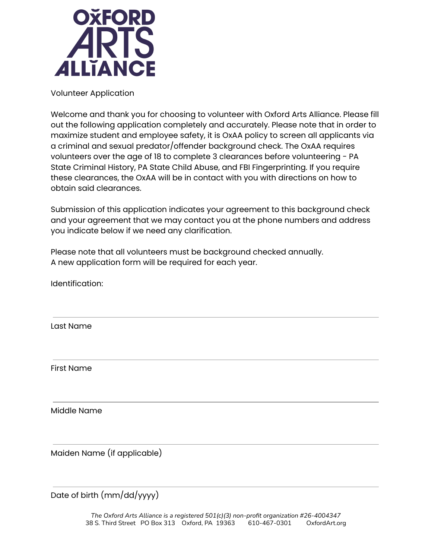

Volunteer Application

Welcome and thank you for choosing to volunteer with Oxford Arts Alliance. Please fill out the following application completely and accurately. Please note that in order to maximize student and employee safety, it is OxAA policy to screen all applicants via a criminal and sexual predator/offender background check. The OxAA requires volunteers over the age of 18 to complete 3 clearances before volunteering - PA State Criminal History, PA State Child Abuse, and FBI Fingerprinting. If you require these clearances, the OxAA will be in contact with you with directions on how to obtain said clearances.

Submission of this application indicates your agreement to this background check and your agreement that we may contact you at the phone numbers and address you indicate below if we need any clarification.

Please note that all volunteers must be background checked annually. A new application form will be required for each year.

Identification:

Last Name

First Name

Middle Name

Maiden Name (if applicable)

Date of birth (mm/dd/yyyy)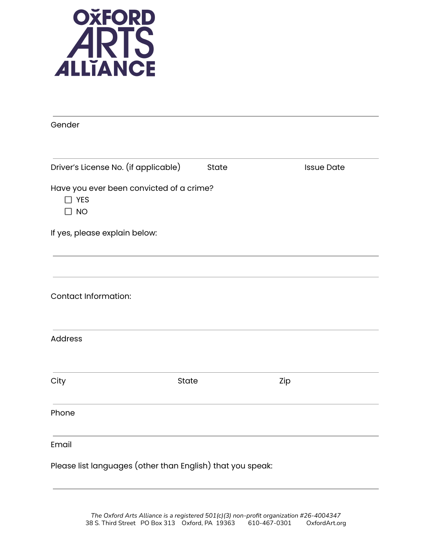

| Gender                                                              |       |                   |
|---------------------------------------------------------------------|-------|-------------------|
| Driver's License No. (if applicable)                                | State | <b>Issue Date</b> |
| Have you ever been convicted of a crime?<br>$\Box$ YES<br>$\Box$ NO |       |                   |
| If yes, please explain below:                                       |       |                   |
|                                                                     |       |                   |
| <b>Contact Information:</b>                                         |       |                   |
| <b>Address</b>                                                      |       |                   |
| City                                                                | State | Zip               |
| Phone                                                               |       |                   |
| Email                                                               |       |                   |
| Please list languages (other than English) that you speak:          |       |                   |